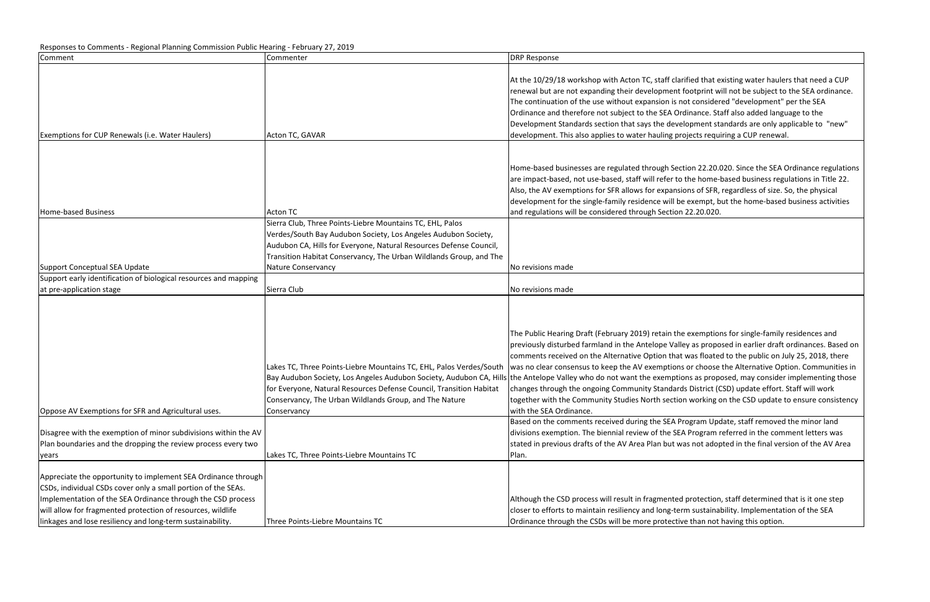| Comment                                                          | Commenter                                                                                                             | <b>DRP Response</b>                                                                                     |
|------------------------------------------------------------------|-----------------------------------------------------------------------------------------------------------------------|---------------------------------------------------------------------------------------------------------|
|                                                                  |                                                                                                                       | At the 10/29/18 workshop with Acton TC, staff cla<br>renewal but are not expanding their development    |
|                                                                  |                                                                                                                       | The continuation of the use without expansion is r<br>Ordinance and therefore not subject to the SEA Or |
|                                                                  |                                                                                                                       | Development Standards section that says the deve                                                        |
| Exemptions for CUP Renewals (i.e. Water Haulers)                 | Acton TC, GAVAR                                                                                                       | development. This also applies to water hauling pr                                                      |
|                                                                  |                                                                                                                       |                                                                                                         |
|                                                                  |                                                                                                                       | Home-based businesses are regulated through Sec                                                         |
|                                                                  |                                                                                                                       | are impact-based, not use-based, staff will refer to                                                    |
|                                                                  |                                                                                                                       | Also, the AV exemptions for SFR allows for expansi                                                      |
|                                                                  |                                                                                                                       | development for the single-family residence will be                                                     |
| Home-based Business                                              | <b>Acton TC</b>                                                                                                       | and regulations will be considered through Sectior                                                      |
|                                                                  | Sierra Club, Three Points-Liebre Mountains TC, EHL, Palos                                                             |                                                                                                         |
|                                                                  | Verdes/South Bay Audubon Society, Los Angeles Audubon Society,                                                        |                                                                                                         |
|                                                                  | Audubon CA, Hills for Everyone, Natural Resources Defense Council,                                                    |                                                                                                         |
|                                                                  | Transition Habitat Conservancy, The Urban Wildlands Group, and The                                                    |                                                                                                         |
| Support Conceptual SEA Update                                    | <b>Nature Conservancy</b>                                                                                             | No revisions made                                                                                       |
| Support early identification of biological resources and mapping |                                                                                                                       |                                                                                                         |
| at pre-application stage                                         | Sierra Club                                                                                                           | No revisions made                                                                                       |
|                                                                  |                                                                                                                       |                                                                                                         |
|                                                                  |                                                                                                                       | The Public Hearing Draft (February 2019) retain the                                                     |
|                                                                  |                                                                                                                       | previously disturbed farmland in the Antelope Vall                                                      |
|                                                                  |                                                                                                                       | comments received on the Alternative Option that                                                        |
|                                                                  | Lakes TC, Three Points-Liebre Mountains TC, EHL, Palos Verdes/South                                                   | was no clear consensus to keep the AV exemption                                                         |
|                                                                  | Bay Audubon Society, Los Angeles Audubon Society, Audubon CA, Hills the Antelope Valley who do not want the exemption |                                                                                                         |
|                                                                  | for Everyone, Natural Resources Defense Council, Transition Habitat                                                   | changes through the ongoing Community Standard                                                          |
| Oppose AV Exemptions for SFR and Agricultural uses.              | Conservancy, The Urban Wildlands Group, and The Nature                                                                | together with the Community Studies North sectio<br>with the SEA Ordinance.                             |
|                                                                  | Conservancy                                                                                                           | Based on the comments received during the SEA P                                                         |
| Disagree with the exemption of minor subdivisions within the AV  |                                                                                                                       | divisions exemption. The biennial review of the SE.                                                     |
| Plan boundaries and the dropping the review process every two    |                                                                                                                       | stated in previous drafts of the AV Area Plan but w                                                     |
| years                                                            | Lakes TC, Three Points-Liebre Mountains TC                                                                            | Plan.                                                                                                   |
|                                                                  |                                                                                                                       |                                                                                                         |
| Appreciate the opportunity to implement SEA Ordinance through    |                                                                                                                       |                                                                                                         |
| CSDs, individual CSDs cover only a small portion of the SEAs.    |                                                                                                                       |                                                                                                         |
| Implementation of the SEA Ordinance through the CSD process      |                                                                                                                       | Although the CSD process will result in fragmented                                                      |
| will allow for fragmented protection of resources, wildlife      |                                                                                                                       | closer to efforts to maintain resiliency and long-ter                                                   |
| linkages and lose resiliency and long-term sustainability.       | Three Points-Liebre Mountains TC                                                                                      | Ordinance through the CSDs will be more protectiv                                                       |

rified that existing water haulers that need a CUP footprint will not be subject to the SEA ordinance. not considered "development" per the SEA rdinance. Staff also added language to the elopment standards are only applicable to "new" rojects requiring a CUP renewal.

ttion 22.20.020. Since the SEA Ordinance regulations the home-based business regulations in Title 22. ions of SFR, regardless of size. So, the physical e exempt, but the home-based business activities and 22.20.020.

e exemptions for single-family residences and ley as proposed in earlier draft ordinances. Based on t was floated to the public on July 25, 2018, there s or choose the Alternative Option. Communities in ons as proposed, may consider implementing those ds District (CSD) update effort. Staff will work on working on the CSD update to ensure consistency

rogram Update, staff removed the minor land A Program referred in the comment letters was vas not adopted in the final version of the AV Area

d protection, staff determined that is it one step rm sustainability. Implementation of the SEA ve than not having this option.

#### Responses to Comments - Regional Planning Commission Public Hearing - February 27, 2019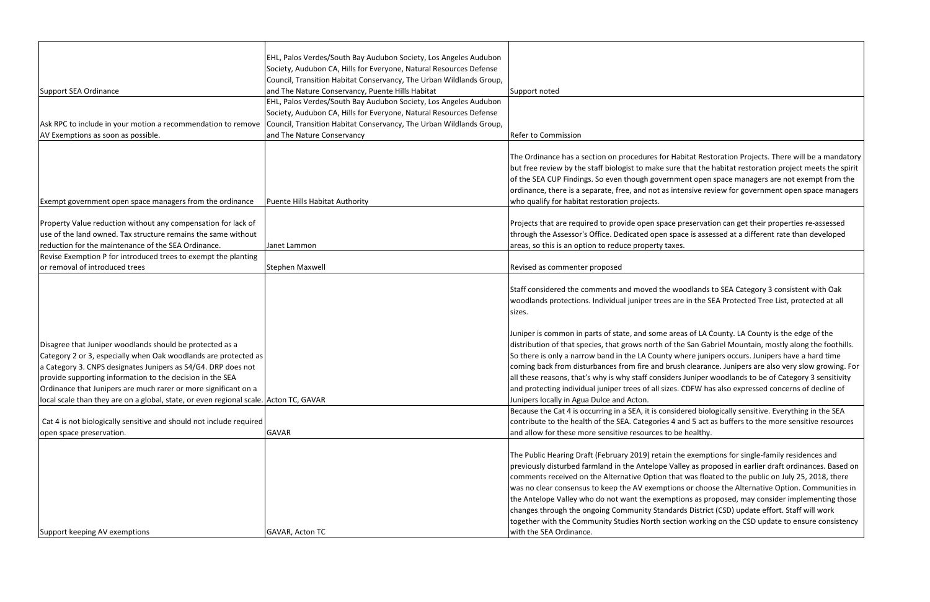|                                                                                       | EHL, Palos Verdes/South Bay Audubon Society, Los Angeles Audubon    |                                                         |
|---------------------------------------------------------------------------------------|---------------------------------------------------------------------|---------------------------------------------------------|
|                                                                                       | Society, Audubon CA, Hills for Everyone, Natural Resources Defense  |                                                         |
|                                                                                       | Council, Transition Habitat Conservancy, The Urban Wildlands Group, |                                                         |
| <b>Support SEA Ordinance</b>                                                          | and The Nature Conservancy, Puente Hills Habitat                    | Support noted                                           |
|                                                                                       | EHL, Palos Verdes/South Bay Audubon Society, Los Angeles Audubon    |                                                         |
|                                                                                       | Society, Audubon CA, Hills for Everyone, Natural Resources Defense  |                                                         |
| Ask RPC to include in your motion a recommendation to remove                          | Council, Transition Habitat Conservancy, The Urban Wildlands Group, |                                                         |
| AV Exemptions as soon as possible.                                                    | and The Nature Conservancy                                          | <b>Refer to Commission</b>                              |
|                                                                                       |                                                                     | The Ordinance has a section on procedures for Hab       |
|                                                                                       |                                                                     | but free review by the staff biologist to make sure t   |
|                                                                                       |                                                                     | of the SEA CUP Findings. So even though governme        |
|                                                                                       |                                                                     | ordinance, there is a separate, free, and not as inte   |
| Exempt government open space managers from the ordinance                              | Puente Hills Habitat Authority                                      | who qualify for habitat restoration projects.           |
|                                                                                       |                                                                     |                                                         |
| Property Value reduction without any compensation for lack of                         |                                                                     | Projects that are required to provide open space pr     |
| use of the land owned. Tax structure remains the same without                         |                                                                     | through the Assessor's Office. Dedicated open spac      |
| reduction for the maintenance of the SEA Ordinance.                                   | Janet Lammon                                                        | areas, so this is an option to reduce property taxes.   |
| Revise Exemption P for introduced trees to exempt the planting                        |                                                                     |                                                         |
| or removal of introduced trees                                                        | <b>Stephen Maxwell</b>                                              | Revised as commenter proposed                           |
|                                                                                       |                                                                     |                                                         |
|                                                                                       |                                                                     | Staff considered the comments and moved the woo         |
|                                                                                       |                                                                     | woodlands protections. Individual juniper trees are     |
|                                                                                       |                                                                     | sizes.                                                  |
|                                                                                       |                                                                     |                                                         |
|                                                                                       |                                                                     | Juniper is common in parts of state, and some area      |
| Disagree that Juniper woodlands should be protected as a                              |                                                                     | distribution of that species, that grows north of the   |
| Category 2 or 3, especially when Oak woodlands are protected as                       |                                                                     | So there is only a narrow band in the LA County wh      |
| a Category 3. CNPS designates Junipers as S4/G4. DRP does not                         |                                                                     | coming back from disturbances from fire and brush       |
| provide supporting information to the decision in the SEA                             |                                                                     | all these reasons, that's why is why staff considers.   |
| Ordinance that Junipers are much rarer or more significant on a                       |                                                                     | and protecting individual juniper trees of all sizes. C |
| local scale than they are on a global, state, or even regional scale. Acton TC, GAVAR |                                                                     | Junipers locally in Agua Dulce and Acton.               |
|                                                                                       |                                                                     | Because the Cat 4 is occurring in a SEA, it is conside  |
| Cat 4 is not biologically sensitive and should not include required                   |                                                                     | contribute to the health of the SEA. Categories 4 ar    |
| open space preservation.                                                              | <b>GAVAR</b>                                                        | and allow for these more sensitive resources to be      |
|                                                                                       |                                                                     | The Public Hearing Draft (February 2019) retain the     |
|                                                                                       |                                                                     |                                                         |
|                                                                                       |                                                                     | previously disturbed farmland in the Antelope Valle     |
|                                                                                       |                                                                     | comments received on the Alternative Option that        |
|                                                                                       |                                                                     | was no clear consensus to keep the AV exemptions        |
|                                                                                       |                                                                     | the Antelope Valley who do not want the exemptio        |
|                                                                                       |                                                                     | changes through the ongoing Community Standard          |
|                                                                                       |                                                                     | together with the Community Studies North section       |
| Support keeping AV exemptions                                                         | <b>GAVAR, Acton TC</b>                                              | with the SEA Ordinance.                                 |

abitat Restoration Projects. There will be a mandatory that the habitat restoration project meets the spirit nent open space managers are not exempt from the tensive review for government open space managers

preservation can get their properties re-assessed ace is assessed at a different rate than developed

oodlands to SEA Category 3 consistent with Oak re in the SEA Protected Tree List, protected at all

eas of LA County. LA County is the edge of the ne San Gabriel Mountain, mostly along the foothills. here junipers occurs. Junipers have a hard time sh clearance. Junipers are also very slow growing. For I Juniper woodlands to be of Category 3 sensitivity CDFW has also expressed concerns of decline of

dered biologically sensitive. Everything in the SEA and 5 act as buffers to the more sensitive resources e healthy.

The exemptions for single-family residences and ley as proposed in earlier draft ordinances. Based on at was floated to the public on July 25, 2018, there ns or choose the Alternative Option. Communities in ions as proposed, may consider implementing those rds District (CSD) update effort. Staff will work on working on the CSD update to ensure consistency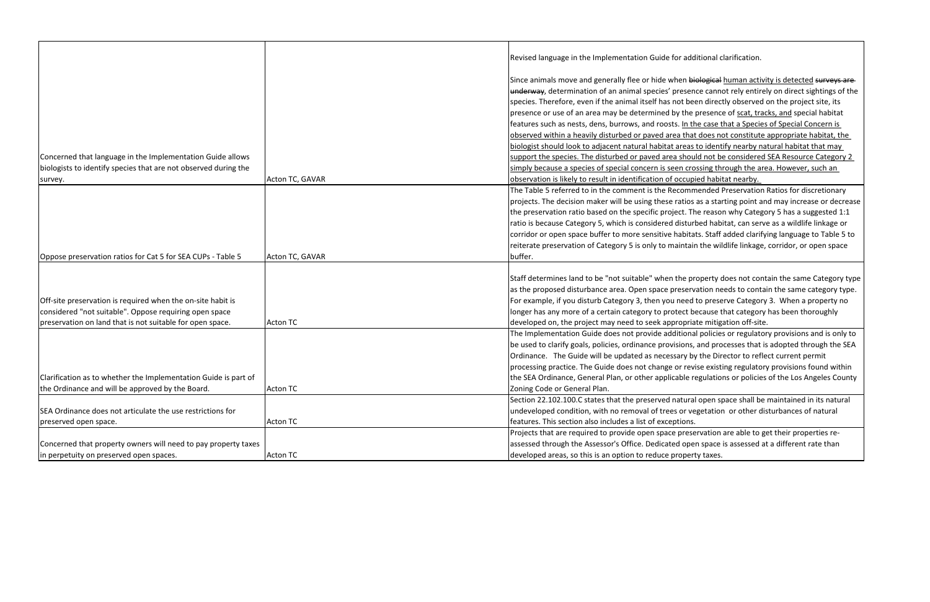|                                                                 |                 | Revised language in the Implementation Guide for addi        |
|-----------------------------------------------------------------|-----------------|--------------------------------------------------------------|
|                                                                 |                 | Since animals move and generally flee or hide when bie       |
|                                                                 |                 | underway, determination of an animal species' presend        |
|                                                                 |                 | species. Therefore, even if the animal itself has not bee    |
|                                                                 |                 | presence or use of an area may be determined by the p        |
|                                                                 |                 | features such as nests, dens, burrows, and roosts. In th     |
|                                                                 |                 | observed within a heavily disturbed or paved area that       |
|                                                                 |                 | biologist should look to adjacent natural habitat areas t    |
| Concerned that language in the Implementation Guide allows      |                 | support the species. The disturbed or paved area shoul       |
| biologists to identify species that are not observed during the |                 | simply because a species of special concern is seen cros     |
| survey.                                                         | Acton TC, GAVAR | observation is likely to result in identification of occupi- |
|                                                                 |                 | The Table 5 referred to in the comment is the Recomm         |
|                                                                 |                 | projects. The decision maker will be using these ratios a    |
|                                                                 |                 | the preservation ratio based on the specific project. Th     |
|                                                                 |                 | ratio is because Category 5, which is considered disturk     |
|                                                                 |                 | corridor or open space buffer to more sensitive habitat      |
|                                                                 |                 | reiterate preservation of Category 5 is only to maintain     |
| Oppose preservation ratios for Cat 5 for SEA CUPs - Table 5     | Acton TC, GAVAR | buffer.                                                      |
|                                                                 |                 | Staff determines land to be "not suitable" when the pro      |
|                                                                 |                 | as the proposed disturbance area. Open space preserva        |
| Off-site preservation is required when the on-site habit is     |                 | For example, if you disturb Category 3, then you need t      |
| considered "not suitable". Oppose requiring open space          |                 | longer has any more of a certain category to protect be      |
| preservation on land that is not suitable for open space.       | <b>Acton TC</b> | developed on, the project may need to seek appropriat        |
|                                                                 |                 | The Implementation Guide does not provide additional         |
|                                                                 |                 | be used to clarify goals, policies, ordinance provisions,    |
|                                                                 |                 | Ordinance. The Guide will be updated as necessary by         |
|                                                                 |                 | processing practice. The Guide does not change or revi       |
| Clarification as to whether the Implementation Guide is part of |                 | the SEA Ordinance, General Plan, or other applicable re      |
| the Ordinance and will be approved by the Board.                | <b>Acton TC</b> | Zoning Code or General Plan.                                 |
|                                                                 |                 | Section 22.102.100.C states that the preserved natural       |
| SEA Ordinance does not articulate the use restrictions for      |                 | undeveloped condition, with no removal of trees or ve        |
| preserved open space.                                           | <b>Acton TC</b> | features. This section also includes a list of exceptions.   |
|                                                                 |                 | Projects that are required to provide open space prese       |
| Concerned that property owners will need to pay property taxes  |                 | assessed through the Assessor's Office. Dedicated oper       |
| in perpetuity on preserved open spaces.                         | <b>Acton TC</b> | developed areas, so this is an option to reduce propert      |
|                                                                 |                 |                                                              |

additional clarification.

en biological human activity is detected surveys are esence cannot rely entirely on direct sightings of the ot been directly observed on the project site, its the presence of scat, tracks, and special habitat In the case that a Species of Special Concern is that does not constitute appropriate habitat, the reas to identify nearby natural habitat that may should not be considered SEA Resource Category 2 n crossing through the area. However, such an ccupied habitat nearby.

The Table 3 referred to nether to increduce to mentionary atios as a starting point and may increase or decrease  $ct.$  The reason why Category 5 has a suggested 1:1 listurbed habitat, can serve as a wildlife linkage or abitats. Staff added clarifying language to Table 5 to intain the wildlife linkage, corridor, or open space

he property does not contain the same Category type eservation needs to contain the same category type. reed to preserve Category 3. When a property no ect because that category has been thoroughly opriate mitigation off-site.

tional policies or regulatory provisions and is only to ions, and processes that is adopted through the SEA ary by the Director to reflect current permit provise existing regulatory provisions found within ble regulations or policies of the Los Angeles County

atural open space shall be maintained in its natural or vegetation or other disturbances of natural

preservation are able to get their properties reopen space is assessed at a different rate than operty taxes.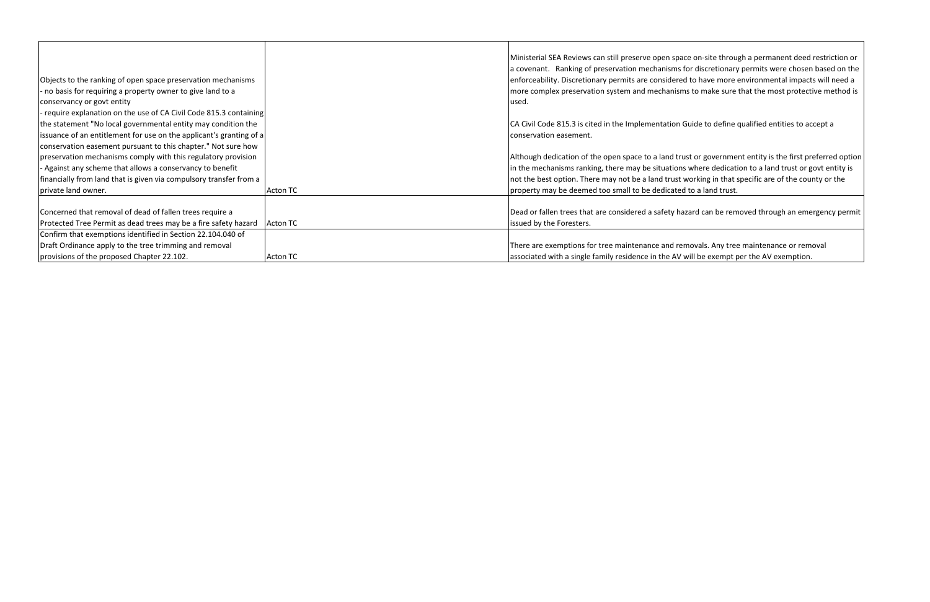|                                                                     |                 | Ministerial SEA Reviews can still preserve open spa  |
|---------------------------------------------------------------------|-----------------|------------------------------------------------------|
|                                                                     |                 | a covenant. Ranking of preservation mechanisms       |
| Objects to the ranking of open space preservation mechanisms        |                 | enforceability. Discretionary permits are considere  |
| - no basis for requiring a property owner to give land to a         |                 | more complex preservation system and mechanism       |
| conservancy or govt entity                                          |                 | lused.                                               |
| - require explanation on the use of CA Civil Code 815.3 containing  |                 |                                                      |
| the statement "No local governmental entity may condition the       |                 | CA Civil Code 815.3 is cited in the Implementation ( |
| issuance of an entitlement for use on the applicant's granting of a |                 | conservation easement.                               |
| conservation easement pursuant to this chapter." Not sure how       |                 |                                                      |
| preservation mechanisms comply with this regulatory provision       |                 | Although dedication of the open space to a land tru  |
| - Against any scheme that allows a conservancy to benefit           |                 | in the mechanisms ranking, there may be situations   |
| financially from land that is given via compulsory transfer from a  |                 | not the best option. There may not be a land trust   |
| private land owner.                                                 | Acton TC        | property may be deemed too small to be dedicated     |
| Concerned that removal of dead of fallen trees require a            |                 | Dead or fallen trees that are considered a safety ha |
| Protected Tree Permit as dead trees may be a fire safety hazard     | <b>Acton TC</b> | issued by the Foresters.                             |
| Confirm that exemptions identified in Section 22.104.040 of         |                 |                                                      |
| Draft Ordinance apply to the tree trimming and removal              |                 | There are exemptions for tree maintenance and rea    |
| provisions of the proposed Chapter 22.102.                          | Acton TC        | associated with a single family residence in the AV  |
|                                                                     |                 |                                                      |

ace on-site through a permanent deed restriction or for discretionary permits were chosen based on the ed to have more environmental impacts will need a ms to make sure that the most protective method is

Guide to define qualified entities to accept a

ust or government entity is the first preferred option is where dedication to a land trust or govt entity is working in that specific are of the county or the ed to a land trust.

azard can be removed through an emergency permit

emovals. Any tree maintenance or removal will be exempt per the AV exemption.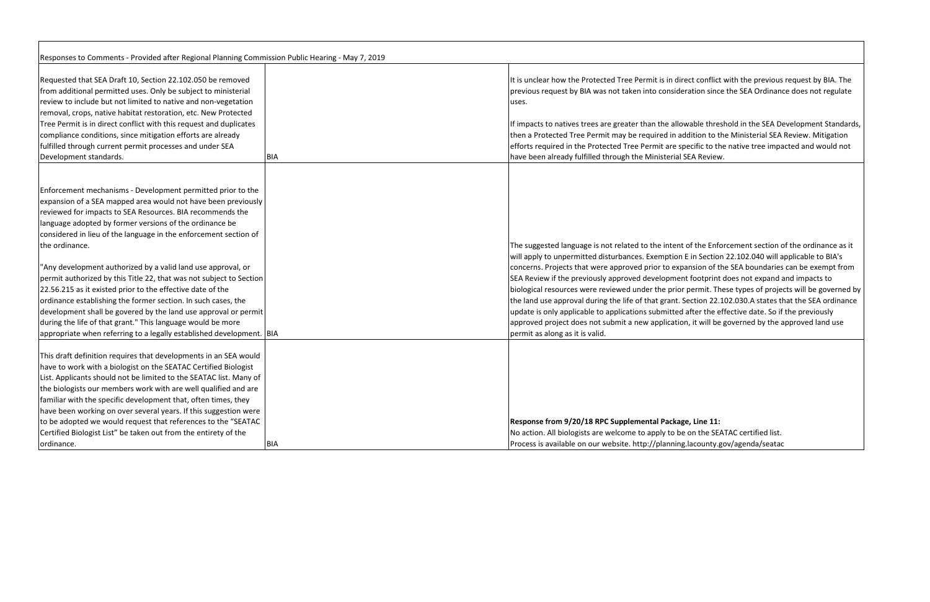**Response from 9/20/18 RPC Supplemental Package, Line 11:** e on the SEATAC certified list. g.lacounty.gov/agenda/seatac

| Responses to Comments - Provided after Regional Planning Commission Public Hearing - May 7, 2019 |            |                                                       |
|--------------------------------------------------------------------------------------------------|------------|-------------------------------------------------------|
| Requested that SEA Draft 10, Section 22.102.050 be removed                                       |            | It is unclear how the Protected Tree Permit is in dir |
| from additional permitted uses. Only be subject to ministerial                                   |            | previous request by BIA was not taken into conside    |
| review to include but not limited to native and non-vegetation                                   |            | uses.                                                 |
| removal, crops, native habitat restoration, etc. New Protected                                   |            |                                                       |
| Tree Permit is in direct conflict with this request and duplicates                               |            | If impacts to natives trees are greater than the allo |
| compliance conditions, since mitigation efforts are already                                      |            | then a Protected Tree Permit may be required in a     |
| fulfilled through current permit processes and under SEA                                         |            | efforts required in the Protected Tree Permit are sp  |
| Development standards.                                                                           | <b>BIA</b> | have been already fulfilled through the Ministerial   |
|                                                                                                  |            |                                                       |
| Enforcement mechanisms - Development permitted prior to the                                      |            |                                                       |
| expansion of a SEA mapped area would not have been previously                                    |            |                                                       |
| reviewed for impacts to SEA Resources. BIA recommends the                                        |            |                                                       |
| language adopted by former versions of the ordinance be                                          |            |                                                       |
| considered in lieu of the language in the enforcement section of                                 |            |                                                       |
| the ordinance.                                                                                   |            | The suggested language is not related to the intent   |
|                                                                                                  |            | will apply to unpermitted disturbances. Exemption     |
| "Any development authorized by a valid land use approval, or                                     |            | concerns. Projects that were approved prior to exp    |
| permit authorized by this Title 22, that was not subject to Section                              |            | SEA Review if the previously approved developmer      |
| 22.56.215 as it existed prior to the effective date of the                                       |            | biological resources were reviewed under the prior    |
| ordinance establishing the former section. In such cases, the                                    |            | the land use approval during the life of that grant.  |
| development shall be govered by the land use approval or permit                                  |            | update is only applicable to applications submitted   |
| during the life of that grant." This language would be more                                      |            | approved project does not submit a new applicatio     |
| appropriate when referring to a legally established development. BIA                             |            | permit as along as it is valid.                       |
| This draft definition requires that developments in an SEA would                                 |            |                                                       |
| have to work with a biologist on the SEATAC Certified Biologist                                  |            |                                                       |
| List. Applicants should not be limited to the SEATAC list. Many of                               |            |                                                       |
| the biologists our members work with are well qualified and are                                  |            |                                                       |
| familiar with the specific development that, often times, they                                   |            |                                                       |
| have been working on over several years. If this suggestion were                                 |            |                                                       |
| to be adopted we would request that references to the "SEATAC                                    |            | Response from 9/20/18 RPC Supplemental Packag         |
| Certified Biologist List" be taken out from the entirety of the                                  |            | No action. All biologists are welcome to apply to be  |
| ordinance.                                                                                       | <b>BIA</b> | Process is available on our website. http://planning  |

rect conflict with the previous request by BIA. The eration since the SEA Ordinance does not regulate

bwable threshold in the SEA Development Standards, ddition to the Ministerial SEA Review. Mitigation specific to the native tree impacted and would not **SEA Review.** 

of the Enforcement section of the ordinance as it E in Section 22.102.040 will applicable to BIA's pansion of the SEA boundaries can be exempt from nt footprint does not expand and impacts to r permit. These types of projects will be governed by Section 22.102.030.A states that the SEA ordinance after the effective date. So if the previously on, it will be governed by the approved land use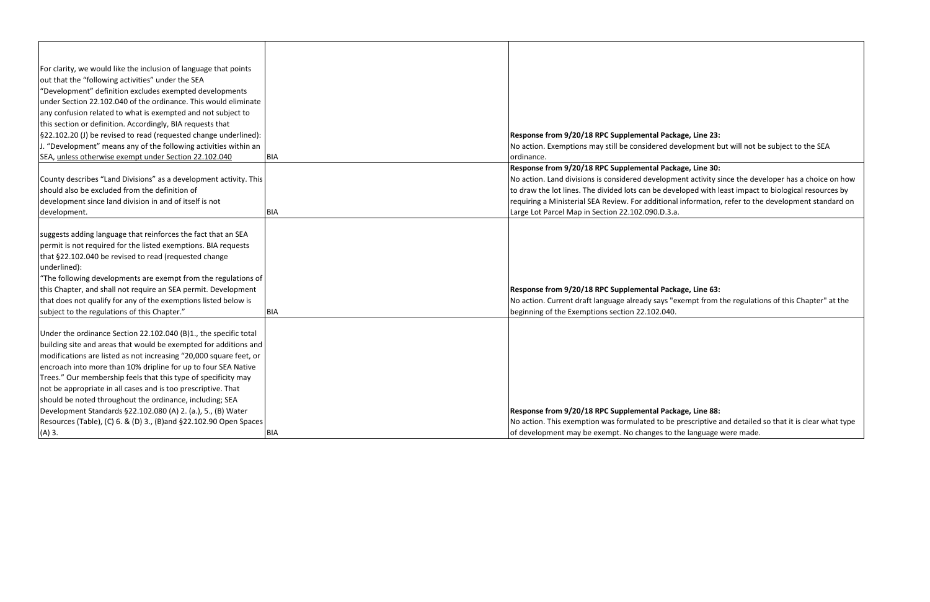| For clarity, we would like the inclusion of language that points<br>out that the "following activities" under the SEA<br>"Development" definition excludes exempted developments<br>under Section 22.102.040 of the ordinance. This would eliminate<br>any confusion related to what is exempted and not subject to<br>this section or definition. Accordingly, BIA requests that<br>§22.102.20 (J) be revised to read (requested change underlined):<br>Response from 9/20/18 RPC Supplemental Packa<br>J. "Development" means any of the following activities within an<br>No action. Exemptions may still be considered dev<br>SEA, unless otherwise exempt under Section 22.102.040<br><b>BIA</b><br>ordinance.<br>Response from 9/20/18 RPC Supplemental Packa |  |                                                      |
|---------------------------------------------------------------------------------------------------------------------------------------------------------------------------------------------------------------------------------------------------------------------------------------------------------------------------------------------------------------------------------------------------------------------------------------------------------------------------------------------------------------------------------------------------------------------------------------------------------------------------------------------------------------------------------------------------------------------------------------------------------------------|--|------------------------------------------------------|
|                                                                                                                                                                                                                                                                                                                                                                                                                                                                                                                                                                                                                                                                                                                                                                     |  |                                                      |
|                                                                                                                                                                                                                                                                                                                                                                                                                                                                                                                                                                                                                                                                                                                                                                     |  |                                                      |
|                                                                                                                                                                                                                                                                                                                                                                                                                                                                                                                                                                                                                                                                                                                                                                     |  |                                                      |
|                                                                                                                                                                                                                                                                                                                                                                                                                                                                                                                                                                                                                                                                                                                                                                     |  |                                                      |
|                                                                                                                                                                                                                                                                                                                                                                                                                                                                                                                                                                                                                                                                                                                                                                     |  |                                                      |
|                                                                                                                                                                                                                                                                                                                                                                                                                                                                                                                                                                                                                                                                                                                                                                     |  |                                                      |
|                                                                                                                                                                                                                                                                                                                                                                                                                                                                                                                                                                                                                                                                                                                                                                     |  |                                                      |
|                                                                                                                                                                                                                                                                                                                                                                                                                                                                                                                                                                                                                                                                                                                                                                     |  |                                                      |
|                                                                                                                                                                                                                                                                                                                                                                                                                                                                                                                                                                                                                                                                                                                                                                     |  |                                                      |
|                                                                                                                                                                                                                                                                                                                                                                                                                                                                                                                                                                                                                                                                                                                                                                     |  |                                                      |
| County describes "Land Divisions" as a development activity. This                                                                                                                                                                                                                                                                                                                                                                                                                                                                                                                                                                                                                                                                                                   |  | No action. Land divisions is considered developme    |
| should also be excluded from the definition of                                                                                                                                                                                                                                                                                                                                                                                                                                                                                                                                                                                                                                                                                                                      |  | to draw the lot lines. The divided lots can be devel |
| development since land division in and of itself is not                                                                                                                                                                                                                                                                                                                                                                                                                                                                                                                                                                                                                                                                                                             |  | requiring a Ministerial SEA Review. For additional   |
| development.<br>IBIA                                                                                                                                                                                                                                                                                                                                                                                                                                                                                                                                                                                                                                                                                                                                                |  | Large Lot Parcel Map in Section 22.102.090.D.3.a.    |
|                                                                                                                                                                                                                                                                                                                                                                                                                                                                                                                                                                                                                                                                                                                                                                     |  |                                                      |
| suggests adding language that reinforces the fact that an SEA                                                                                                                                                                                                                                                                                                                                                                                                                                                                                                                                                                                                                                                                                                       |  |                                                      |
| permit is not required for the listed exemptions. BIA requests                                                                                                                                                                                                                                                                                                                                                                                                                                                                                                                                                                                                                                                                                                      |  |                                                      |
| that §22.102.040 be revised to read (requested change                                                                                                                                                                                                                                                                                                                                                                                                                                                                                                                                                                                                                                                                                                               |  |                                                      |
| underlined):                                                                                                                                                                                                                                                                                                                                                                                                                                                                                                                                                                                                                                                                                                                                                        |  |                                                      |
| "The following developments are exempt from the regulations of                                                                                                                                                                                                                                                                                                                                                                                                                                                                                                                                                                                                                                                                                                      |  |                                                      |
| this Chapter, and shall not require an SEA permit. Development                                                                                                                                                                                                                                                                                                                                                                                                                                                                                                                                                                                                                                                                                                      |  | Response from 9/20/18 RPC Supplemental Packa         |
| that does not qualify for any of the exemptions listed below is                                                                                                                                                                                                                                                                                                                                                                                                                                                                                                                                                                                                                                                                                                     |  | No action. Current draft language already says "ex   |
| subject to the regulations of this Chapter."<br><b>BIA</b>                                                                                                                                                                                                                                                                                                                                                                                                                                                                                                                                                                                                                                                                                                          |  | beginning of the Exemptions section 22.102.040.      |
|                                                                                                                                                                                                                                                                                                                                                                                                                                                                                                                                                                                                                                                                                                                                                                     |  |                                                      |
| Under the ordinance Section 22.102.040 (B)1., the specific total                                                                                                                                                                                                                                                                                                                                                                                                                                                                                                                                                                                                                                                                                                    |  |                                                      |
| building site and areas that would be exempted for additions and                                                                                                                                                                                                                                                                                                                                                                                                                                                                                                                                                                                                                                                                                                    |  |                                                      |
| modifications are listed as not increasing "20,000 square feet, or                                                                                                                                                                                                                                                                                                                                                                                                                                                                                                                                                                                                                                                                                                  |  |                                                      |
| encroach into more than 10% dripline for up to four SEA Native                                                                                                                                                                                                                                                                                                                                                                                                                                                                                                                                                                                                                                                                                                      |  |                                                      |
| Trees." Our membership feels that this type of specificity may                                                                                                                                                                                                                                                                                                                                                                                                                                                                                                                                                                                                                                                                                                      |  |                                                      |
| not be appropriate in all cases and is too prescriptive. That                                                                                                                                                                                                                                                                                                                                                                                                                                                                                                                                                                                                                                                                                                       |  |                                                      |
| should be noted throughout the ordinance, including; SEA                                                                                                                                                                                                                                                                                                                                                                                                                                                                                                                                                                                                                                                                                                            |  |                                                      |
| Development Standards §22.102.080 (A) 2. (a.), 5., (B) Water                                                                                                                                                                                                                                                                                                                                                                                                                                                                                                                                                                                                                                                                                                        |  | Response from 9/20/18 RPC Supplemental Packa         |
| Resources (Table), (C) 6. & (D) 3., (B)and §22.102.90 Open Spaces                                                                                                                                                                                                                                                                                                                                                                                                                                                                                                                                                                                                                                                                                                   |  | No action. This exemption was formulated to be p     |
| $(A)$ 3.<br><b>BIA</b>                                                                                                                                                                                                                                                                                                                                                                                                                                                                                                                                                                                                                                                                                                                                              |  | of development may be exempt. No changes to the      |

#### age, Line 23:

velopment but will not be subject to the SEA

# **Responsi**<br> **Responsi**<br> **Responsi**<br> **Responsi**<br> **Responsi**<br> **Responsi**<br> **Responsi**<br> **Responsi**<br> **Responsi**<br> **Responsi**<br> **Responsi**<br> **Responsi**<br> **Responsi**<br> **Responsi**<br> **Responsi**<br> **Responsi**<br> **Responsi**<br> **Responsi**<br> **Respo**

ent activity since the developer has a choice on how eloped with least impact to biological resources by information, refer to the development standard on

age, Line 63: xempt from the regulations of this Chapter" at the

# **Response from 9/20/18 RPC Supplemental Package, Line 88:**

prescriptive and detailed so that it is clear what type he language were made.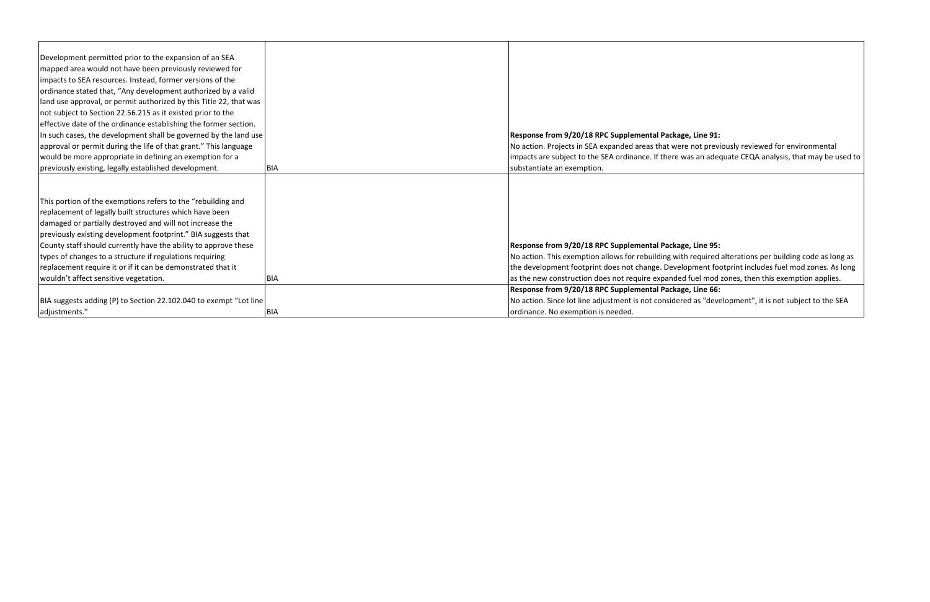| Development permitted prior to the expansion of an SEA             |     |                                                      |
|--------------------------------------------------------------------|-----|------------------------------------------------------|
| mapped area would not have been previously reviewed for            |     |                                                      |
| impacts to SEA resources. Instead, former versions of the          |     |                                                      |
| ordinance stated that, "Any development authorized by a valid      |     |                                                      |
| land use approval, or permit authorized by this Title 22, that was |     |                                                      |
| not subject to Section 22.56.215 as it existed prior to the        |     |                                                      |
| effective date of the ordinance establishing the former section.   |     |                                                      |
| In such cases, the development shall be governed by the land use   |     | Response from 9/20/18 RPC Supplemental Packa         |
| approval or permit during the life of that grant." This language   |     | No action. Projects in SEA expanded areas that we    |
| would be more appropriate in defining an exemption for a           |     | impacts are subject to the SEA ordinance. If there   |
| previously existing, legally established development.              | BIA | substantiate an exemption.                           |
|                                                                    |     |                                                      |
|                                                                    |     |                                                      |
| This portion of the exemptions refers to the "rebuilding and       |     |                                                      |
| replacement of legally built structures which have been            |     |                                                      |
| damaged or partially destroyed and will not increase the           |     |                                                      |
| previously existing development footprint." BIA suggests that      |     |                                                      |
| County staff should currently have the ability to approve these    |     | Response from 9/20/18 RPC Supplemental Packa         |
| types of changes to a structure if regulations requiring           |     | No action. This exemption allows for rebuilding wi   |
| replacement require it or if it can be demonstrated that it        |     | the development footprint does not change. Deve      |
| wouldn't affect sensitive vegetation.                              | BIA | as the new construction does not require expande     |
|                                                                    |     | Response from 9/20/18 RPC Supplemental Packa         |
| BIA suggests adding (P) to Section 22.102.040 to exempt "Lot line  |     | No action. Since lot line adjustment is not consider |
| adjustments."                                                      | BIA | ordinance. No exemption is needed.                   |

# age, Line 91:

ere not previously reviewed for environmental was an adequate CEQA analysis, that may be used to

# age, Line 95:

vith required alterations per building code as long as elopment footprint includes fuel mod zones. As long ed fuel mod zones, then this exemption applies.

# **Responsi**<br> **Responsi**<br> **Responsi**<br> **Responsi**<br> **Responsi**<br> **Responsi**<br> **Responsi**<br> **Responsi**<br> **Responsi**<br> **Responsi**<br> **Responsi**<br> **Responsi**<br> **Responsi**<br> **Responsi**<br> **Responsi**<br> **Responsi**<br> **Responsi**<br> **Responsi**<br> **Respo**

red as "development", it is not subject to the SEA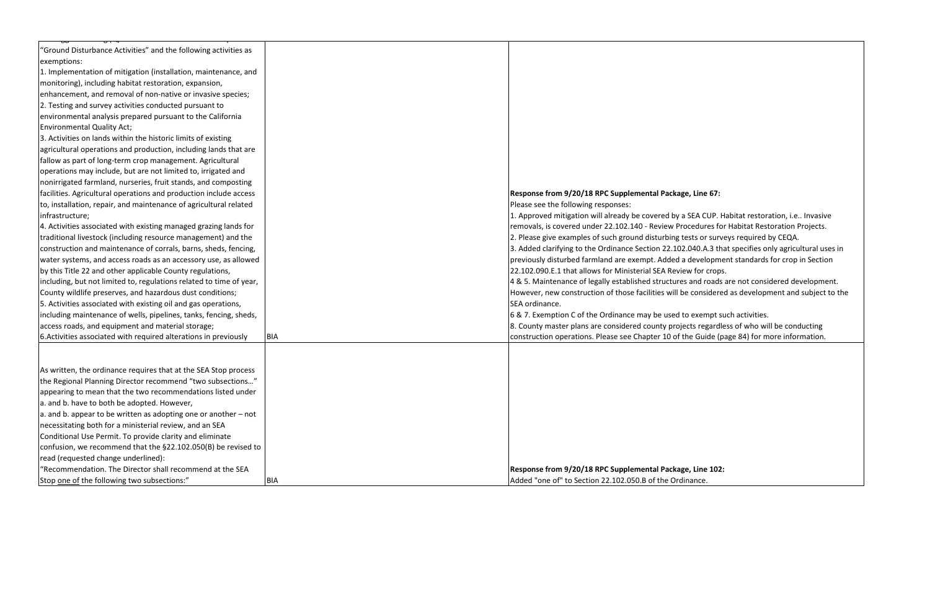| 'Ground Disturbance Activities" and the following activities as     |            |                                                             |
|---------------------------------------------------------------------|------------|-------------------------------------------------------------|
| exemptions:                                                         |            |                                                             |
| 1. Implementation of mitigation (installation, maintenance, and     |            |                                                             |
| monitoring), including habitat restoration, expansion,              |            |                                                             |
| enhancement, and removal of non-native or invasive species;         |            |                                                             |
| 2. Testing and survey activities conducted pursuant to              |            |                                                             |
| environmental analysis prepared pursuant to the California          |            |                                                             |
| <b>Environmental Quality Act;</b>                                   |            |                                                             |
| 3. Activities on lands within the historic limits of existing       |            |                                                             |
| agricultural operations and production, including lands that are    |            |                                                             |
| fallow as part of long-term crop management. Agricultural           |            |                                                             |
| operations may include, but are not limited to, irrigated and       |            |                                                             |
| nonirrigated farmland, nurseries, fruit stands, and composting      |            |                                                             |
| facilities. Agricultural operations and production include access   |            | Response from 9/20/18 RPC Supplemental Package, Line        |
| to, installation, repair, and maintenance of agricultural related   |            | Please see the following responses:                         |
| infrastructure;                                                     |            | 1. Approved mitigation will already be covered by a SEA CU  |
| 4. Activities associated with existing managed grazing lands for    |            | removals, is covered under 22.102.140 - Review Procedure    |
| traditional livestock (including resource management) and the       |            | 2. Please give examples of such ground disturbing tests or  |
| construction and maintenance of corrals, barns, sheds, fencing,     |            | 3. Added clarifying to the Ordinance Section 22.102.040.A.  |
| water systems, and access roads as an accessory use, as allowed     |            | previously disturbed farmland are exempt. Added a develd    |
| by this Title 22 and other applicable County regulations,           |            | 22.102.090.E.1 that allows for Ministerial SEA Review for o |
| including, but not limited to, regulations related to time of year, |            | 4 & 5. Maintenance of legally established structures and ro |
| County wildlife preserves, and hazardous dust conditions;           |            | However, new construction of those facilities will be consi |
| 5. Activities associated with existing oil and gas operations,      |            | SEA ordinance.                                              |
| including maintenance of wells, pipelines, tanks, fencing, sheds,   |            | 6 & 7. Exemption C of the Ordinance may be used to exem     |
| access roads, and equipment and material storage;                   |            | 8. County master plans are considered county projects reg   |
| 6. Activities associated with required alterations in previously    | <b>BIA</b> | construction operations. Please see Chapter 10 of the Guid  |
|                                                                     |            |                                                             |
|                                                                     |            |                                                             |
| As written, the ordinance requires that at the SEA Stop process     |            |                                                             |
| the Regional Planning Director recommend "two subsections"          |            |                                                             |
| appearing to mean that the two recommendations listed under         |            |                                                             |
| a. and b. have to both be adopted. However,                         |            |                                                             |
| $ a$ and b. appear to be written as adopting one or another $-$ not |            |                                                             |
| necessitating both for a ministerial review, and an SEA             |            |                                                             |
| Conditional Use Permit. To provide clarity and eliminate            |            |                                                             |
| confusion, we recommend that the §22.102.050(B) be revised to       |            |                                                             |
| read (requested change underlined):                                 |            |                                                             |
| "Recommendation. The Director shall recommend at the SEA            |            | Response from 9/20/18 RPC Supplemental Package, Line        |
| Stop one of the following two subsections:"                         | <b>BIA</b> | Added "one of" to Section 22.102.050.B of the Ordinance.    |

# **Rge, Line 67:**

a SEA CUP. Habitat restoration, i.e.. Invasive rocedures for Habitat Restoration Projects. tests or surveys required by CEQA.

2.040.A.3 that specifies only agricultural uses in a development standards for crop in Section iew for crops.

es and roads are not considered development. be considered as development and subject to the

to exempt such activities.

jects regardless of who will be conducting  $\epsilon$  the Guide (page 84) for more information.

**ge, Line 102:**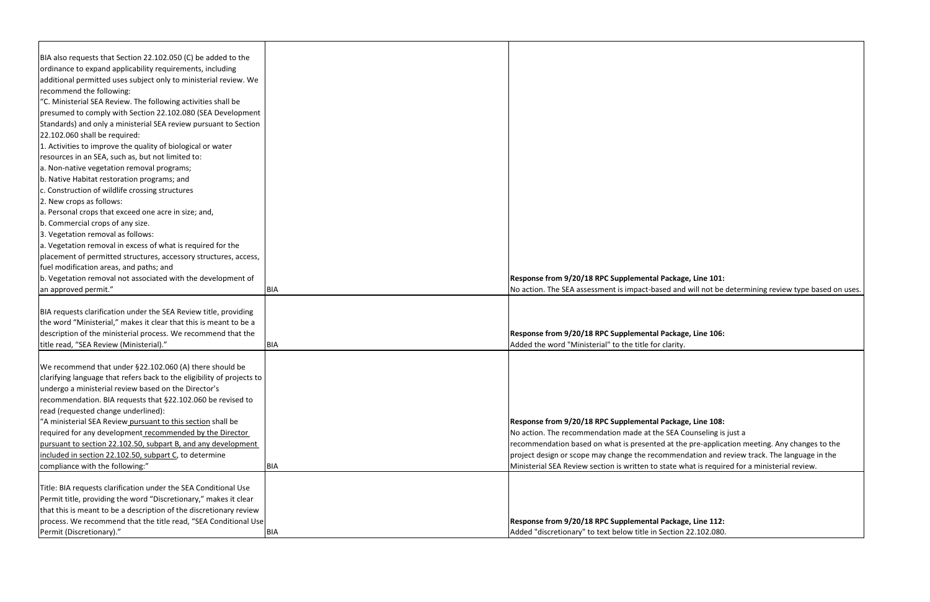| BIA also requests that Section 22.102.050 (C) be added to the          |            |                                                        |
|------------------------------------------------------------------------|------------|--------------------------------------------------------|
| ordinance to expand applicability requirements, including              |            |                                                        |
| additional permitted uses subject only to ministerial review. We       |            |                                                        |
| recommend the following:                                               |            |                                                        |
| "C. Ministerial SEA Review. The following activities shall be          |            |                                                        |
| presumed to comply with Section 22.102.080 (SEA Development            |            |                                                        |
| Standards) and only a ministerial SEA review pursuant to Section       |            |                                                        |
| 22.102.060 shall be required:                                          |            |                                                        |
| 1. Activities to improve the quality of biological or water            |            |                                                        |
| resources in an SEA, such as, but not limited to:                      |            |                                                        |
| a. Non-native vegetation removal programs;                             |            |                                                        |
| b. Native Habitat restoration programs; and                            |            |                                                        |
| c. Construction of wildlife crossing structures                        |            |                                                        |
| 2. New crops as follows:                                               |            |                                                        |
| a. Personal crops that exceed one acre in size; and,                   |            |                                                        |
| b. Commercial crops of any size.                                       |            |                                                        |
| 3. Vegetation removal as follows:                                      |            |                                                        |
| a. Vegetation removal in excess of what is required for the            |            |                                                        |
| placement of permitted structures, accessory structures, access,       |            |                                                        |
| fuel modification areas, and paths; and                                |            |                                                        |
| b. Vegetation removal not associated with the development of           |            | Response from 9/20/18 RPC Supplemental Packag          |
| an approved permit."                                                   | <b>BIA</b> | No action. The SEA assessment is impact-based and      |
|                                                                        |            |                                                        |
| BIA requests clarification under the SEA Review title, providing       |            |                                                        |
| the word "Ministerial," makes it clear that this is meant to be a      |            |                                                        |
| description of the ministerial process. We recommend that the          |            | Response from 9/20/18 RPC Supplemental Packag          |
| title read, "SEA Review (Ministerial)."                                | <b>BIA</b> | Added the word "Ministerial" to the title for clarity. |
| We recommend that under §22.102.060 (A) there should be                |            |                                                        |
| clarifying language that refers back to the eligibility of projects to |            |                                                        |
| undergo a ministerial review based on the Director's                   |            |                                                        |
| recommendation. BIA requests that §22.102.060 be revised to            |            |                                                        |
| read (requested change underlined):                                    |            |                                                        |
| "A ministerial SEA Review pursuant to this section shall be            |            | <b>Response from 9/20/18 RPC Supplemental Packag</b>   |
| required for any development recommended by the Director               |            | No action. The recommendation made at the SEA C        |
| pursuant to section 22.102.50, subpart B, and any development          |            | recommendation based on what is presented at the       |
| included in section 22.102.50, subpart C, to determine                 |            | project design or scope may change the recommen        |
| compliance with the following:"                                        | <b>BIA</b> | Ministerial SEA Review section is written to state w   |
|                                                                        |            |                                                        |
| Title: BIA requests clarification under the SEA Conditional Use        |            |                                                        |
| Permit title, providing the word "Discretionary," makes it clear       |            |                                                        |
| that this is meant to be a description of the discretionary review     |            |                                                        |
| process. We recommend that the title read, "SEA Conditional Use        |            | Response from 9/20/18 RPC Supplemental Packag          |
| Permit (Discretionary)."                                               | <b>BIA</b> | Added "discretionary" to text below title in Section   |

kage, Line 101: and will not be determining review type based on uses.

kage, Line 106:

kage, Line 108: A Counseling is just a the pre-application meeting. Any changes to the endation and review track. The language in the If what is required for a ministerial review.

kage, Line 112: ion 22.102.080.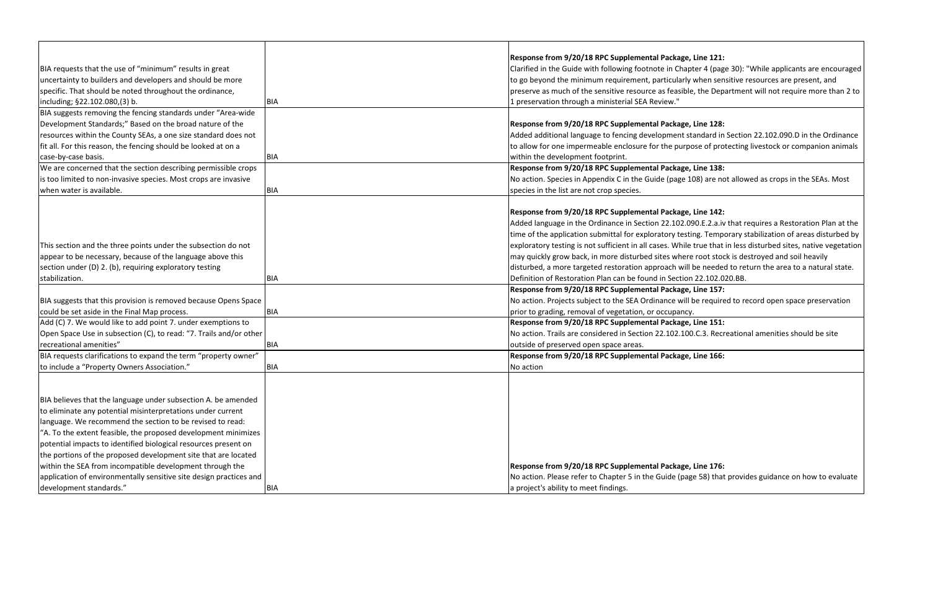#### **Response from 9/20/18 RPC Supplemental Package, Line 121:**

hapter 4 (page 30): "While applicants are encouraged  $|$ arly when sensitive resources are present, and ible, the Department will not require more than 2 to

### **Response from 9/20/18 RPC Supplemental Package, Line 128:**

It standard in Section 22.102.090.D in the Ordinance urpose of protecting livestock or companion animals

#### **Response from 9/20/18 RPC Supplemental Package, Line 138:**

e 108) are not allowed as crops in the SEAs. Most

#### **Response from 9/20/18 RPC Supplemental Package, Line 142:**

2.090.E.2.a.iv that requires a Restoration Plan at the esting. Temporary stabilization of areas disturbed by hile true that in less disturbed sites, native vegetation nere root stock is destroyed and soil heavily

will be needed to return the area to a natural state.  $tion 22.102.020.BB.$ 

#### **ge, Line 157:**

vill be required to record open space preservation

|                                                                    |            | Response from 9/20/18 RPC Supplemental Package,           |
|--------------------------------------------------------------------|------------|-----------------------------------------------------------|
| BIA requests that the use of "minimum" results in great            |            | Clarified in the Guide with following footnote in Chapt   |
| uncertainty to builders and developers and should be more          |            | to go beyond the minimum requirement, particularly        |
| specific. That should be noted throughout the ordinance,           |            | preserve as much of the sensitive resource as feasible    |
| including; §22.102.080,(3) b.                                      | BIA        | 1 preservation through a ministerial SEA Review."         |
| BIA suggests removing the fencing standards under "Area-wide       |            |                                                           |
| Development Standards;" Based on the broad nature of the           |            | Response from 9/20/18 RPC Supplemental Package,           |
| resources within the County SEAs, a one size standard does not     |            | Added additional language to fencing development sta      |
| fit all. For this reason, the fencing should be looked at on a     |            | to allow for one impermeable enclosure for the purpo      |
| case-by-case basis.                                                | <b>BIA</b> | within the development footprint.                         |
| We are concerned that the section describing permissible crops     |            | Response from 9/20/18 RPC Supplemental Package,           |
| is too limited to non-invasive species. Most crops are invasive    |            | No action. Species in Appendix C in the Guide (page 10)   |
| when water is available.                                           | <b>BIA</b> | species in the list are not crop species.                 |
|                                                                    |            |                                                           |
|                                                                    |            | Response from 9/20/18 RPC Supplemental Package,           |
|                                                                    |            | Added language in the Ordinance in Section 22.102.09      |
|                                                                    |            | time of the application submittal for exploratory testin  |
| This section and the three points under the subsection do not      |            | exploratory testing is not sufficient in all cases. While |
| appear to be necessary, because of the language above this         |            | may quickly grow back, in more disturbed sites where      |
| section under (D) 2. (b), requiring exploratory testing            |            | disturbed, a more targeted restoration approach will b    |
| stabilization.                                                     | <b>BIA</b> | Definition of Restoration Plan can be found in Section    |
|                                                                    |            | Response from 9/20/18 RPC Supplemental Package,           |
| BIA suggests that this provision is removed because Opens Space    |            | No action. Projects subject to the SEA Ordinance will b   |
| could be set aside in the Final Map process.                       | <b>BIA</b> | prior to grading, removal of vegetation, or occupancy.    |
| Add (C) 7. We would like to add point 7. under exemptions to       |            | Response from 9/20/18 RPC Supplemental Package,           |
| Open Space Use in subsection (C), to read: "7. Trails and/or other |            | No action. Trails are considered in Section 22.102.100    |
| recreational amenities"                                            | <b>BIA</b> | outside of preserved open space areas.                    |
| BIA requests clarifications to expand the term "property owner"    |            | Response from 9/20/18 RPC Supplemental Package,           |
| to include a "Property Owners Association."                        | <b>BIA</b> | No action                                                 |
|                                                                    |            |                                                           |
|                                                                    |            |                                                           |
| BIA believes that the language under subsection A. be amended      |            |                                                           |
| to eliminate any potential misinterpretations under current        |            |                                                           |
| language. We recommend the section to be revised to read:          |            |                                                           |
| "A. To the extent feasible, the proposed development minimizes     |            |                                                           |
| potential impacts to identified biological resources present on    |            |                                                           |
| the portions of the proposed development site that are located     |            |                                                           |
| within the SEA from incompatible development through the           |            | Response from 9/20/18 RPC Supplemental Package,           |
| application of environmentally sensitive site design practices and |            | No action. Please refer to Chapter 5 in the Guide (page   |
| development standards."                                            | <b>BIA</b> | a project's ability to meet findings.                     |

#### **Response from 9/20/18 RPC Supplemental Package, Line 151:**

100.C.3. Recreational amenities should be site

#### **Response from 9/20/18 RPC Supplemental Package, Line 166:**

**ge, Line 176:** page 58) that provides guidance on how to evaluate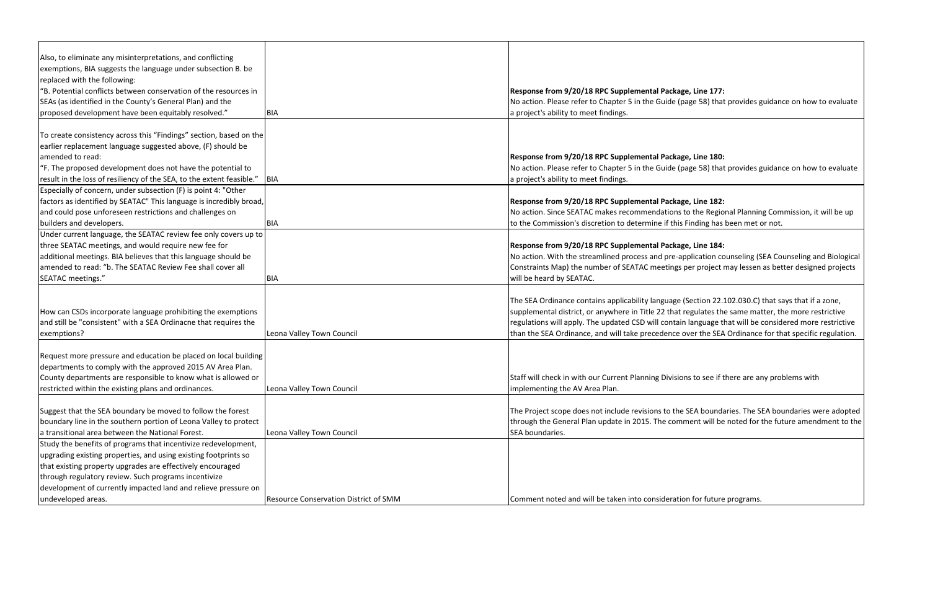| Also, to eliminate any misinterpretations, and conflicting            |                                       |                                                       |
|-----------------------------------------------------------------------|---------------------------------------|-------------------------------------------------------|
| exemptions, BIA suggests the language under subsection B. be          |                                       |                                                       |
| replaced with the following:                                          |                                       |                                                       |
| "B. Potential conflicts between conservation of the resources in      |                                       | Response from 9/20/18 RPC Supplemental Packa          |
| SEAs (as identified in the County's General Plan) and the             |                                       | No action. Please refer to Chapter 5 in the Guide (   |
| proposed development have been equitably resolved."                   | <b>BIA</b>                            | a project's ability to meet findings.                 |
|                                                                       |                                       |                                                       |
| To create consistency across this "Findings" section, based on the    |                                       |                                                       |
| earlier replacement language suggested above, (F) should be           |                                       |                                                       |
| amended to read:                                                      |                                       | Response from 9/20/18 RPC Supplemental Packa          |
| "F. The proposed development does not have the potential to           |                                       | No action. Please refer to Chapter 5 in the Guide (   |
| result in the loss of resiliency of the SEA, to the extent feasible." | BIA                                   | a project's ability to meet findings.                 |
| Especially of concern, under subsection (F) is point 4: "Other        |                                       |                                                       |
| factors as identified by SEATAC" This language is incredibly broad,   |                                       | Response from 9/20/18 RPC Supplemental Packa          |
| and could pose unforeseen restrictions and challenges on              |                                       | No action. Since SEATAC makes recommendations         |
| builders and developers.                                              | <b>BIA</b>                            | to the Commission's discretion to determine if this   |
| Under current language, the SEATAC review fee only covers up to       |                                       |                                                       |
| three SEATAC meetings, and would require new fee for                  |                                       | Response from 9/20/18 RPC Supplemental Packa          |
| additional meetings. BIA believes that this language should be        |                                       | No action. With the streamlined process and pre-a     |
| amended to read: "b. The SEATAC Review Fee shall cover all            |                                       | Constraints Map) the number of SEATAC meetings        |
| SEATAC meetings."                                                     | <b>BIA</b>                            | will be heard by SEATAC.                              |
|                                                                       |                                       |                                                       |
|                                                                       |                                       | The SEA Ordinance contains applicability language     |
| How can CSDs incorporate language prohibiting the exemptions          |                                       | supplemental district, or anywhere in Title 22 that   |
| and still be "consistent" with a SEA Ordinacne that requires the      |                                       | regulations will apply. The updated CSD will contai   |
| exemptions?                                                           | Leona Valley Town Council             | than the SEA Ordinance, and will take precedence      |
|                                                                       |                                       |                                                       |
| Request more pressure and education be placed on local building       |                                       |                                                       |
| departments to comply with the approved 2015 AV Area Plan.            |                                       |                                                       |
| County departments are responsible to know what is allowed or         |                                       | Staff will check in with our Current Planning Divisio |
| restricted within the existing plans and ordinances.                  | Leona Valley Town Council             | implementing the AV Area Plan.                        |
| Suggest that the SEA boundary be moved to follow the forest           |                                       | The Project scope does not include revisions to the   |
| boundary line in the southern portion of Leona Valley to protect      |                                       | through the General Plan update in 2015. The com      |
| a transitional area between the National Forest.                      | Leona Valley Town Council             | SEA boundaries.                                       |
| Study the benefits of programs that incentivize redevelopment,        |                                       |                                                       |
| upgrading existing properties, and using existing footprints so       |                                       |                                                       |
| that existing property upgrades are effectively encouraged            |                                       |                                                       |
| through regulatory review. Such programs incentivize                  |                                       |                                                       |
|                                                                       |                                       |                                                       |
| development of currently impacted land and relieve pressure on        |                                       |                                                       |
| undeveloped areas.                                                    | Resource Conservation District of SMM | Comment noted and will be taken into considerati      |

**Response from 177:** (page 58) that provides guidance on how to evaluate

**Response from 180:** 

(page 58) that provides guidance on how to evaluate

# **Response from 182:**

s to the Regional Planning Commission, it will be up s Finding has been met or not.

#### Response 184:

application counseling (SEA Counseling and Biological s per project may lessen as better designed projects

 $\Omega$  (Section 22.102.030.C) that says that if a zone, t regulates the same matter, the more restrictive in language that will be considered more restrictive  $\alpha$  over the SEA Ordinance for that specific regulation.

ons to see if there are any problems with

e SEA boundaries. The SEA boundaries were adopted iment will be noted for the future amendment to the

ion for future programs.